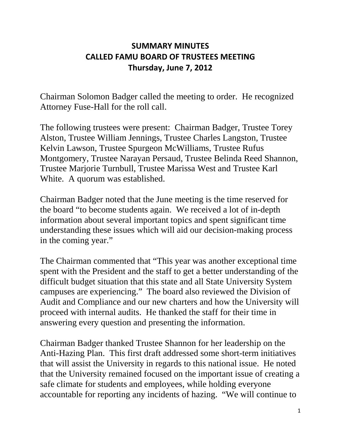## **SUMMARY MINUTES CALLED FAMU BOARD OF TRUSTEES MEETING Thursday, June 7, 2012**

Chairman Solomon Badger called the meeting to order. He recognized Attorney Fuse-Hall for the roll call.

The following trustees were present: Chairman Badger, Trustee Torey Alston, Trustee William Jennings, Trustee Charles Langston, Trustee Kelvin Lawson, Trustee Spurgeon McWilliams, Trustee Rufus Montgomery, Trustee Narayan Persaud, Trustee Belinda Reed Shannon, Trustee Marjorie Turnbull, Trustee Marissa West and Trustee Karl White. A quorum was established.

Chairman Badger noted that the June meeting is the time reserved for the board "to become students again. We received a lot of in-depth information about several important topics and spent significant time understanding these issues which will aid our decision-making process in the coming year."

The Chairman commented that "This year was another exceptional time spent with the President and the staff to get a better understanding of the difficult budget situation that this state and all State University System campuses are experiencing." The board also reviewed the Division of Audit and Compliance and our new charters and how the University will proceed with internal audits. He thanked the staff for their time in answering every question and presenting the information.

Chairman Badger thanked Trustee Shannon for her leadership on the Anti-Hazing Plan. This first draft addressed some short-term initiatives that will assist the University in regards to this national issue. He noted that the University remained focused on the important issue of creating a safe climate for students and employees, while holding everyone accountable for reporting any incidents of hazing. "We will continue to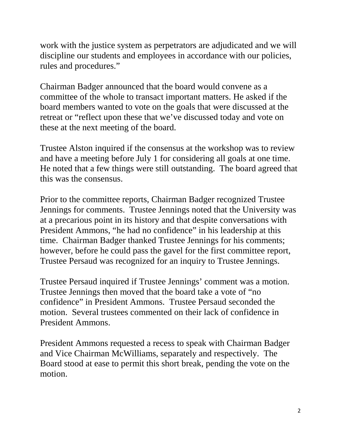work with the justice system as perpetrators are adjudicated and we will discipline our students and employees in accordance with our policies, rules and procedures."

Chairman Badger announced that the board would convene as a committee of the whole to transact important matters. He asked if the board members wanted to vote on the goals that were discussed at the retreat or "reflect upon these that we've discussed today and vote on these at the next meeting of the board.

Trustee Alston inquired if the consensus at the workshop was to review and have a meeting before July 1 for considering all goals at one time. He noted that a few things were still outstanding. The board agreed that this was the consensus.

Prior to the committee reports, Chairman Badger recognized Trustee Jennings for comments. Trustee Jennings noted that the University was at a precarious point in its history and that despite conversations with President Ammons, "he had no confidence" in his leadership at this time. Chairman Badger thanked Trustee Jennings for his comments; however, before he could pass the gavel for the first committee report, Trustee Persaud was recognized for an inquiry to Trustee Jennings.

Trustee Persaud inquired if Trustee Jennings' comment was a motion. Trustee Jennings then moved that the board take a vote of "no confidence" in President Ammons. Trustee Persaud seconded the motion. Several trustees commented on their lack of confidence in President Ammons.

President Ammons requested a recess to speak with Chairman Badger and Vice Chairman McWilliams, separately and respectively. The Board stood at ease to permit this short break, pending the vote on the motion.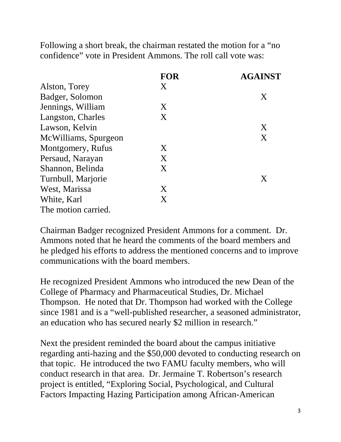Following a short break, the chairman restated the motion for a "no confidence" vote in President Ammons. The roll call vote was:

|                      | <b>FOR</b> | <b>AGAINST</b> |
|----------------------|------------|----------------|
| Alston, Torey        | X          |                |
| Badger, Solomon      |            | X              |
| Jennings, William    | X          |                |
| Langston, Charles    | X          |                |
| Lawson, Kelvin       |            | X              |
| McWilliams, Spurgeon |            | X              |
| Montgomery, Rufus    | X          |                |
| Persaud, Narayan     | X          |                |
| Shannon, Belinda     | X          |                |
| Turnbull, Marjorie   |            | X              |
| West, Marissa        | X          |                |
| White, Karl          | X          |                |
| The motion carried.  |            |                |

Chairman Badger recognized President Ammons for a comment. Dr. Ammons noted that he heard the comments of the board members and he pledged his efforts to address the mentioned concerns and to improve communications with the board members.

He recognized President Ammons who introduced the new Dean of the College of Pharmacy and Pharmaceutical Studies, Dr. Michael Thompson. He noted that Dr. Thompson had worked with the College since 1981 and is a "well-published researcher, a seasoned administrator, an education who has secured nearly \$2 million in research."

Next the president reminded the board about the campus initiative regarding anti-hazing and the \$50,000 devoted to conducting research on that topic. He introduced the two FAMU faculty members, who will conduct research in that area. Dr. Jermaine T. Robertson's research project is entitled, "Exploring Social, Psychological, and Cultural Factors Impacting Hazing Participation among African-American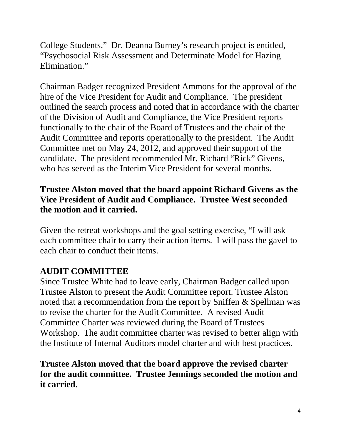College Students." Dr. Deanna Burney's research project is entitled, "Psychosocial Risk Assessment and Determinate Model for Hazing Elimination."

Chairman Badger recognized President Ammons for the approval of the hire of the Vice President for Audit and Compliance. The president outlined the search process and noted that in accordance with the charter of the Division of Audit and Compliance, the Vice President reports functionally to the chair of the Board of Trustees and the chair of the Audit Committee and reports operationally to the president. The Audit Committee met on May 24, 2012, and approved their support of the candidate. The president recommended Mr. Richard "Rick" Givens, who has served as the Interim Vice President for several months.

## **Trustee Alston moved that the board appoint Richard Givens as the Vice President of Audit and Compliance. Trustee West seconded the motion and it carried.**

Given the retreat workshops and the goal setting exercise, "I will ask each committee chair to carry their action items. I will pass the gavel to each chair to conduct their items.

# **AUDIT COMMITTEE**

Since Trustee White had to leave early, Chairman Badger called upon Trustee Alston to present the Audit Committee report. Trustee Alston noted that a recommendation from the report by Sniffen & Spellman was to revise the charter for the Audit Committee. A revised Audit Committee Charter was reviewed during the Board of Trustees Workshop. The audit committee charter was revised to better align with the Institute of Internal Auditors model charter and with best practices.

**Trustee Alston moved that the board approve the revised charter for the audit committee. Trustee Jennings seconded the motion and it carried.**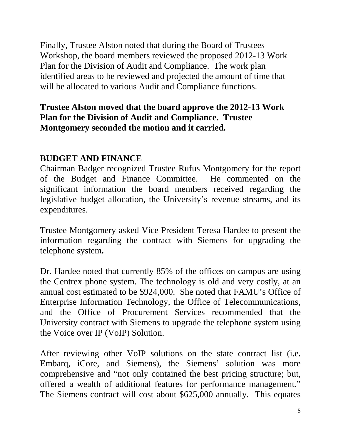Finally, Trustee Alston noted that during the Board of Trustees Workshop, the board members reviewed the proposed 2012-13 Work Plan for the Division of Audit and Compliance. The work plan identified areas to be reviewed and projected the amount of time that will be allocated to various Audit and Compliance functions.

### **Trustee Alston moved that the board approve the 2012-13 Work Plan for the Division of Audit and Compliance. Trustee Montgomery seconded the motion and it carried.**

## **BUDGET AND FINANCE**

Chairman Badger recognized Trustee Rufus Montgomery for the report of the Budget and Finance Committee. He commented on the significant information the board members received regarding the legislative budget allocation, the University's revenue streams, and its expenditures.

Trustee Montgomery asked Vice President Teresa Hardee to present the information regarding the contract with Siemens for upgrading the telephone system**.** 

Dr. Hardee noted that currently 85% of the offices on campus are using the Centrex phone system. The technology is old and very costly, at an annual cost estimated to be \$924,000. She noted that FAMU's Office of Enterprise Information Technology, the Office of Telecommunications, and the Office of Procurement Services recommended that the University contract with Siemens to upgrade the telephone system using the Voice over IP (VoIP) Solution.

After reviewing other VoIP solutions on the state contract list (i.e. Embarq, iCore, and Siemens), the Siemens' solution was more comprehensive and "not only contained the best pricing structure; but, offered a wealth of additional features for performance management." The Siemens contract will cost about \$625,000 annually. This equates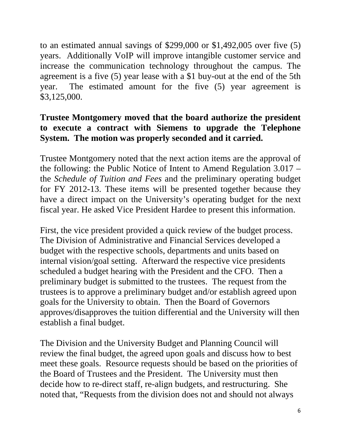to an estimated annual savings of \$299,000 or \$1,492,005 over five (5) years. Additionally VoIP will improve intangible customer service and increase the communication technology throughout the campus. The agreement is a five (5) year lease with a \$1 buy-out at the end of the 5th year. The estimated amount for the five (5) year agreement is \$3,125,000.

## **Trustee Montgomery moved that the board authorize the president to execute a contract with Siemens to upgrade the Telephone System. The motion was properly seconded and it carried.**

Trustee Montgomery noted that the next action items are the approval of the following: the Public Notice of Intent to Amend Regulation 3.017 – the *Schedule of Tuition and Fees* and the preliminary operating budget for FY 2012-13. These items will be presented together because they have a direct impact on the University's operating budget for the next fiscal year. He asked Vice President Hardee to present this information.

First, the vice president provided a quick review of the budget process. The Division of Administrative and Financial Services developed a budget with the respective schools, departments and units based on internal vision/goal setting. Afterward the respective vice presidents scheduled a budget hearing with the President and the CFO. Then a preliminary budget is submitted to the trustees. The request from the trustees is to approve a preliminary budget and/or establish agreed upon goals for the University to obtain. Then the Board of Governors approves/disapproves the tuition differential and the University will then establish a final budget.

The Division and the University Budget and Planning Council will review the final budget, the agreed upon goals and discuss how to best meet these goals. Resource requests should be based on the priorities of the Board of Trustees and the President. The University must then decide how to re-direct staff, re-align budgets, and restructuring. She noted that, "Requests from the division does not and should not always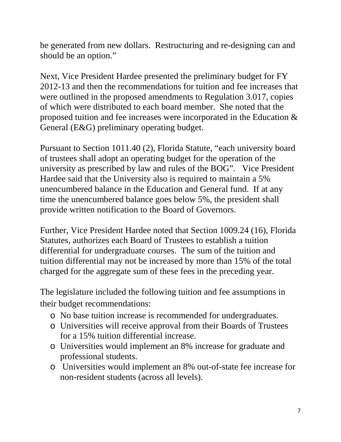be generated from new dollars. Restructuring and re-designing can and should be an option."

Next, Vice President Hardee presented the preliminary budget for FY 2012-13 and then the recommendations for tuition and fee increases that were outlined in the proposed amendments to Regulation 3.017, copies of which were distributed to each board member. She noted that the proposed tuition and fee increases were incorporated in the Education & General (E&G) preliminary operating budget.

Pursuant to Section 1011.40 (2), Florida Statute, "each university board of trustees shall adopt an operating budget for the operation of the university as prescribed by law and rules of the BOG". Vice President Hardee said that the University also is required to maintain a 5% unencumbered balance in the Education and General fund. If at any time the unencumbered balance goes below 5%, the president shall provide written notification to the Board of Governors.

Further, Vice President Hardee noted that Section 1009.24 (16), Florida Statutes, authorizes each Board of Trustees to establish a tuition differential for undergraduate courses. The sum of the tuition and tuition differential may not be increased by more than 15% of the total charged for the aggregate sum of these fees in the preceding year.

The legislature included the following tuition and fee assumptions in their budget recommendations:

- o No base tuition increase is recommended for undergraduates.
- o Universities will receive approval from their Boards of Trustees for a 15% tuition differential increase.
- o Universities would implement an 8% increase for graduate and professional students.
- o Universities would implement an 8% out-of-state fee increase for non-resident students (across all levels).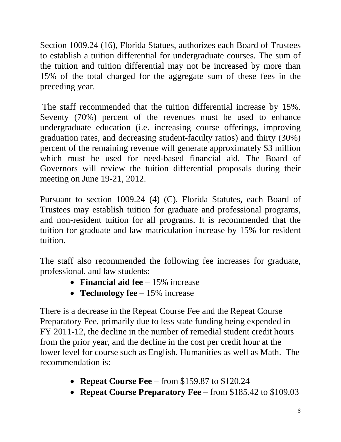Section 1009.24 (16), Florida Statues, authorizes each Board of Trustees to establish a tuition differential for undergraduate courses. The sum of the tuition and tuition differential may not be increased by more than 15% of the total charged for the aggregate sum of these fees in the preceding year.

The staff recommended that the tuition differential increase by 15%. Seventy (70%) percent of the revenues must be used to enhance undergraduate education (i.e. increasing course offerings, improving graduation rates, and decreasing student-faculty ratios) and thirty (30%) percent of the remaining revenue will generate approximately \$3 million which must be used for need-based financial aid. The Board of Governors will review the tuition differential proposals during their meeting on June 19-21, 2012.

Pursuant to section 1009.24 (4) (C), Florida Statutes, each Board of Trustees may establish tuition for graduate and professional programs, and non-resident tuition for all programs. It is recommended that the tuition for graduate and law matriculation increase by 15% for resident tuition.

The staff also recommended the following fee increases for graduate, professional, and law students:

- **Financial aid fee** 15% increase
- **Technology fee** 15% increase

There is a decrease in the Repeat Course Fee and the Repeat Course Preparatory Fee, primarily due to less state funding being expended in FY 2011-12, the decline in the number of remedial student credit hours from the prior year, and the decline in the cost per credit hour at the lower level for course such as English, Humanities as well as Math. The recommendation is:

- **Repeat Course Fee** from \$159.87 to \$120.24
- **Repeat Course Preparatory Fee** from \$185.42 to \$109.03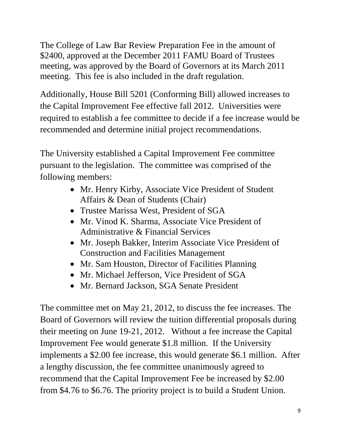The College of Law Bar Review Preparation Fee in the amount of \$2400, approved at the December 2011 FAMU Board of Trustees meeting, was approved by the Board of Governors at its March 2011 meeting. This fee is also included in the draft regulation.

Additionally, House Bill 5201 (Conforming Bill) allowed increases to the Capital Improvement Fee effective fall 2012. Universities were required to establish a fee committee to decide if a fee increase would be recommended and determine initial project recommendations.

The University established a Capital Improvement Fee committee pursuant to the legislation. The committee was comprised of the following members:

- Mr. Henry Kirby, Associate Vice President of Student Affairs & Dean of Students (Chair)
- Trustee Marissa West, President of SGA
- Mr. Vinod K. Sharma, Associate Vice President of Administrative & Financial Services
- Mr. Joseph Bakker, Interim Associate Vice President of Construction and Facilities Management
- Mr. Sam Houston, Director of Facilities Planning
- Mr. Michael Jefferson, Vice President of SGA
- Mr. Bernard Jackson, SGA Senate President

The committee met on May 21, 2012, to discuss the fee increases. The Board of Governors will review the tuition differential proposals during their meeting on June 19-21, 2012. Without a fee increase the Capital Improvement Fee would generate \$1.8 million. If the University implements a \$2.00 fee increase, this would generate \$6.1 million. After a lengthy discussion, the fee committee unanimously agreed to recommend that the Capital Improvement Fee be increased by \$2.00 from \$4.76 to \$6.76. The priority project is to build a Student Union.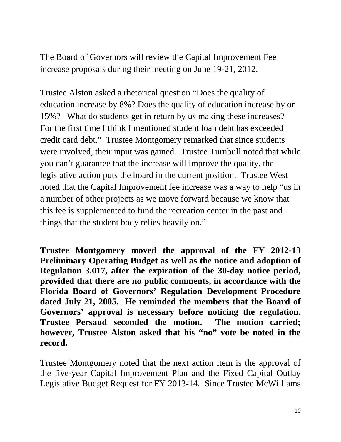The Board of Governors will review the Capital Improvement Fee increase proposals during their meeting on June 19-21, 2012.

Trustee Alston asked a rhetorical question "Does the quality of education increase by 8%? Does the quality of education increase by or 15%? What do students get in return by us making these increases? For the first time I think I mentioned student loan debt has exceeded credit card debt." Trustee Montgomery remarked that since students were involved, their input was gained. Trustee Turnbull noted that while you can't guarantee that the increase will improve the quality, the legislative action puts the board in the current position. Trustee West noted that the Capital Improvement fee increase was a way to help "us in a number of other projects as we move forward because we know that this fee is supplemented to fund the recreation center in the past and things that the student body relies heavily on."

**Trustee Montgomery moved the approval of the FY 2012-13 Preliminary Operating Budget as well as the notice and adoption of Regulation 3.017, after the expiration of the 30-day notice period, provided that there are no public comments, in accordance with the Florida Board of Governors' Regulation Development Procedure dated July 21, 2005. He reminded the members that the Board of Governors' approval is necessary before noticing the regulation. Trustee Persaud seconded the motion. The motion carried; however, Trustee Alston asked that his "no" vote be noted in the record.** 

Trustee Montgomery noted that the next action item is the approval of the five-year Capital Improvement Plan and the Fixed Capital Outlay Legislative Budget Request for FY 2013-14. Since Trustee McWilliams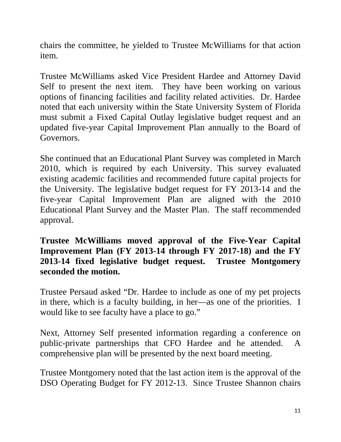chairs the committee, he yielded to Trustee McWilliams for that action item.

Trustee McWilliams asked Vice President Hardee and Attorney David Self to present the next item. They have been working on various options of financing facilities and facility related activities. Dr. Hardee noted that each university within the State University System of Florida must submit a Fixed Capital Outlay legislative budget request and an updated five-year Capital Improvement Plan annually to the Board of Governors.

She continued that an Educational Plant Survey was completed in March 2010, which is required by each University. This survey evaluated existing academic facilities and recommended future capital projects for the University. The legislative budget request for FY 2013-14 and the five-year Capital Improvement Plan are aligned with the 2010 Educational Plant Survey and the Master Plan. The staff recommended approval.

**Trustee McWilliams moved approval of the Five-Year Capital Improvement Plan (FY 2013-14 through FY 2017-18) and the FY 2013-14 fixed legislative budget request. Trustee Montgomery seconded the motion.**

Trustee Persaud asked "Dr. Hardee to include as one of my pet projects in there, which is a faculty building, in her—as one of the priorities. I would like to see faculty have a place to go."

Next, Attorney Self presented information regarding a conference on public-private partnerships that CFO Hardee and he attended. A comprehensive plan will be presented by the next board meeting.

Trustee Montgomery noted that the last action item is the approval of the DSO Operating Budget for FY 2012-13. Since Trustee Shannon chairs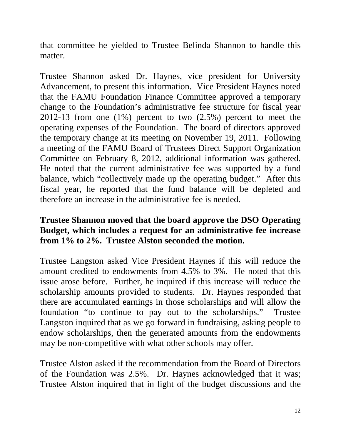that committee he yielded to Trustee Belinda Shannon to handle this matter.

Trustee Shannon asked Dr. Haynes, vice president for University Advancement, to present this information. Vice President Haynes noted that the FAMU Foundation Finance Committee approved a temporary change to the Foundation's administrative fee structure for fiscal year 2012-13 from one (1%) percent to two (2.5%) percent to meet the operating expenses of the Foundation. The board of directors approved the temporary change at its meeting on November 19, 2011. Following a meeting of the FAMU Board of Trustees Direct Support Organization Committee on February 8, 2012, additional information was gathered. He noted that the current administrative fee was supported by a fund balance, which "collectively made up the operating budget." After this fiscal year, he reported that the fund balance will be depleted and therefore an increase in the administrative fee is needed.

#### **Trustee Shannon moved that the board approve the DSO Operating Budget, which includes a request for an administrative fee increase from 1% to 2%. Trustee Alston seconded the motion.**

Trustee Langston asked Vice President Haynes if this will reduce the amount credited to endowments from 4.5% to 3%. He noted that this issue arose before. Further, he inquired if this increase will reduce the scholarship amounts provided to students. Dr. Haynes responded that there are accumulated earnings in those scholarships and will allow the foundation "to continue to pay out to the scholarships." Trustee Langston inquired that as we go forward in fundraising, asking people to endow scholarships, then the generated amounts from the endowments may be non-competitive with what other schools may offer.

Trustee Alston asked if the recommendation from the Board of Directors of the Foundation was 2.5%. Dr. Haynes acknowledged that it was; Trustee Alston inquired that in light of the budget discussions and the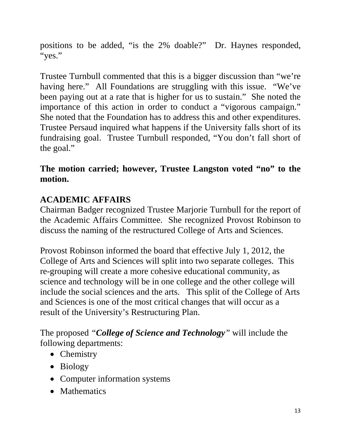positions to be added, "is the 2% doable?" Dr. Haynes responded, "yes."

Trustee Turnbull commented that this is a bigger discussion than "we're having here." All Foundations are struggling with this issue. "We've been paying out at a rate that is higher for us to sustain." She noted the importance of this action in order to conduct a "vigorous campaign." She noted that the Foundation has to address this and other expenditures. Trustee Persaud inquired what happens if the University falls short of its fundraising goal. Trustee Turnbull responded, "You don't fall short of the goal."

## **The motion carried; however, Trustee Langston voted "no" to the motion.**

# **ACADEMIC AFFAIRS**

Chairman Badger recognized Trustee Marjorie Turnbull for the report of the Academic Affairs Committee. She recognized Provost Robinson to discuss the naming of the restructured College of Arts and Sciences.

Provost Robinson informed the board that effective July 1, 2012, the College of Arts and Sciences will split into two separate colleges. This re-grouping will create a more cohesive educational community, as science and technology will be in one college and the other college will include the social sciences and the arts. This split of the College of Arts and Sciences is one of the most critical changes that will occur as a result of the University's Restructuring Plan.

The proposed *"College of Science and Technology"* will include the following departments:

- Chemistry
- Biology
- Computer information systems
- Mathematics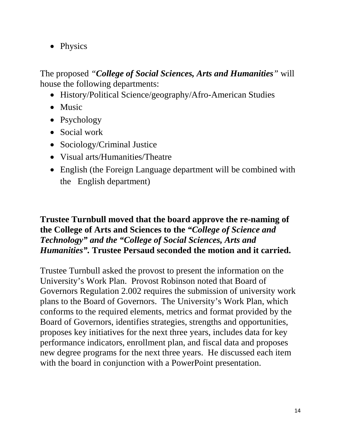• Physics

The proposed *"College of Social Sciences, Arts and Humanities"* will house the following departments:

- History/Political Science/geography/Afro-American Studies
- Music
- Psychology
- Social work
- Sociology/Criminal Justice
- Visual arts/Humanities/Theatre
- English (the Foreign Language department will be combined with the English department)

#### **Trustee Turnbull moved that the board approve the re-naming of the College of Arts and Sciences to the** *"College of Science and Technology" and the "College of Social Sciences, Arts and Humanities".* **Trustee Persaud seconded the motion and it carried.**

Trustee Turnbull asked the provost to present the information on the University's Work Plan. Provost Robinson noted that Board of Governors Regulation 2.002 requires the submission of university work plans to the Board of Governors. The University's Work Plan, which conforms to the required elements, metrics and format provided by the Board of Governors, identifies strategies, strengths and opportunities, proposes key initiatives for the next three years, includes data for key performance indicators, enrollment plan, and fiscal data and proposes new degree programs for the next three years. He discussed each item with the board in conjunction with a PowerPoint presentation.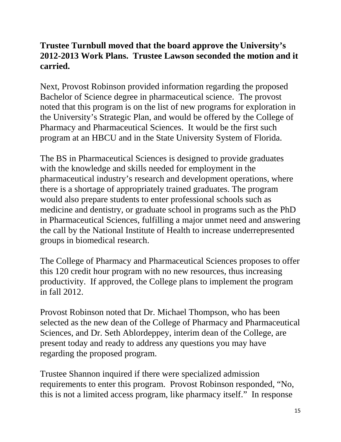## **Trustee Turnbull moved that the board approve the University's 2012-2013 Work Plans. Trustee Lawson seconded the motion and it carried.**

Next, Provost Robinson provided information regarding the proposed Bachelor of Science degree in pharmaceutical science. The provost noted that this program is on the list of new programs for exploration in the University's Strategic Plan, and would be offered by the College of Pharmacy and Pharmaceutical Sciences. It would be the first such program at an HBCU and in the State University System of Florida.

The BS in Pharmaceutical Sciences is designed to provide graduates with the knowledge and skills needed for employment in the pharmaceutical industry's research and development operations, where there is a shortage of appropriately trained graduates. The program would also prepare students to enter professional schools such as medicine and dentistry, or graduate school in programs such as the PhD in Pharmaceutical Sciences, fulfilling a major unmet need and answering the call by the National Institute of Health to increase underrepresented groups in biomedical research.

The College of Pharmacy and Pharmaceutical Sciences proposes to offer this 120 credit hour program with no new resources, thus increasing productivity. If approved, the College plans to implement the program in fall 2012.

Provost Robinson noted that Dr. Michael Thompson, who has been selected as the new dean of the College of Pharmacy and Pharmaceutical Sciences, and Dr. Seth Ablordeppey, interim dean of the College, are present today and ready to address any questions you may have regarding the proposed program.

Trustee Shannon inquired if there were specialized admission requirements to enter this program. Provost Robinson responded, "No, this is not a limited access program, like pharmacy itself." In response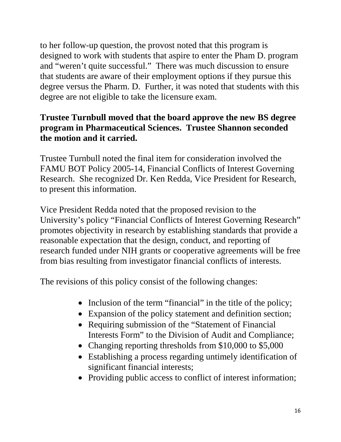to her follow-up question, the provost noted that this program is designed to work with students that aspire to enter the Pham D. program and "weren't quite successful." There was much discussion to ensure that students are aware of their employment options if they pursue this degree versus the Pharm. D. Further, it was noted that students with this degree are not eligible to take the licensure exam.

## **Trustee Turnbull moved that the board approve the new BS degree program in Pharmaceutical Sciences. Trustee Shannon seconded the motion and it carried.**

Trustee Turnbull noted the final item for consideration involved the FAMU BOT Policy 2005-14, Financial Conflicts of Interest Governing Research. She recognized Dr. Ken Redda, Vice President for Research, to present this information.

Vice President Redda noted that the proposed revision to the University's policy "Financial Conflicts of Interest Governing Research" promotes objectivity in research by establishing standards that provide a reasonable expectation that the design, conduct, and reporting of research funded under NIH grants or cooperative agreements will be free from bias resulting from investigator financial conflicts of interests.

The revisions of this policy consist of the following changes:

- Inclusion of the term "financial" in the title of the policy;
- Expansion of the policy statement and definition section;
- Requiring submission of the "Statement of Financial" Interests Form" to the Division of Audit and Compliance;
- Changing reporting thresholds from \$10,000 to \$5,000
- Establishing a process regarding untimely identification of significant financial interests;
- Providing public access to conflict of interest information;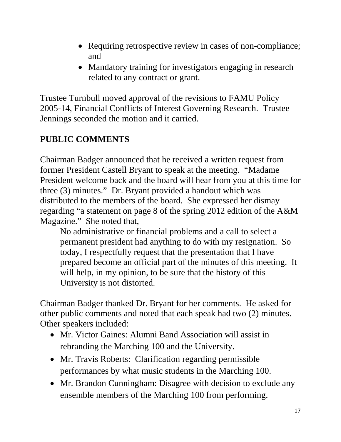- Requiring retrospective review in cases of non-compliance; and
- Mandatory training for investigators engaging in research related to any contract or grant.

Trustee Turnbull moved approval of the revisions to FAMU Policy 2005-14, Financial Conflicts of Interest Governing Research. Trustee Jennings seconded the motion and it carried.

# **PUBLIC COMMENTS**

Chairman Badger announced that he received a written request from former President Castell Bryant to speak at the meeting. "Madame President welcome back and the board will hear from you at this time for three (3) minutes." Dr. Bryant provided a handout which was distributed to the members of the board. She expressed her dismay regarding "a statement on page 8 of the spring 2012 edition of the A&M Magazine." She noted that,

No administrative or financial problems and a call to select a permanent president had anything to do with my resignation. So today, I respectfully request that the presentation that I have prepared become an official part of the minutes of this meeting. It will help, in my opinion, to be sure that the history of this University is not distorted.

Chairman Badger thanked Dr. Bryant for her comments. He asked for other public comments and noted that each speak had two (2) minutes. Other speakers included:

- Mr. Victor Gaines: Alumni Band Association will assist in rebranding the Marching 100 and the University.
- Mr. Travis Roberts: Clarification regarding permissible performances by what music students in the Marching 100.
- Mr. Brandon Cunningham: Disagree with decision to exclude any ensemble members of the Marching 100 from performing.